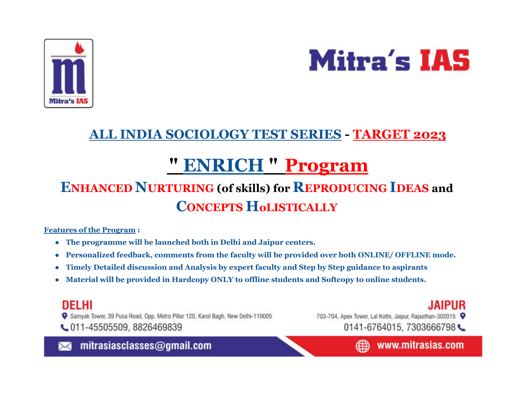

### **ALL INDIA SOCIOLOGY TEST SERIES - TARGET 2023**

### **" ENRICH " Program**

### **ENHANCEDNURTURING (of skills) for REPRODUCINGIDEAS and CONCEPTSHoLISTICALLY**

#### **Features of the Program :**

- **The programme will be launched both in Delhi and Jaipur centers.**
- ●**Personalized feedback, comments from the faculty will be provided over both ONLINE/ OFFLINE mode.**
- ●**Timely Detailed discussion and Analysis by expert faculty and Step by Step guidance to aspirants**
- **Material will be provided in Hardcopy ONLY to offline students and Softcopy to online students.**

#### **DELHI**

Samyak Tower, 39 Pusa Road, Opp. Metro Pillar 120, Karol Bagh, New Delhi-110005

€ 011-45505509, 8826469839

**JAIPHR** 703-704, Apex Tower, Lal Kothi, Jaipur, Rajasthan-302015 0141-6764015, 7303666798



www.mitrasias.com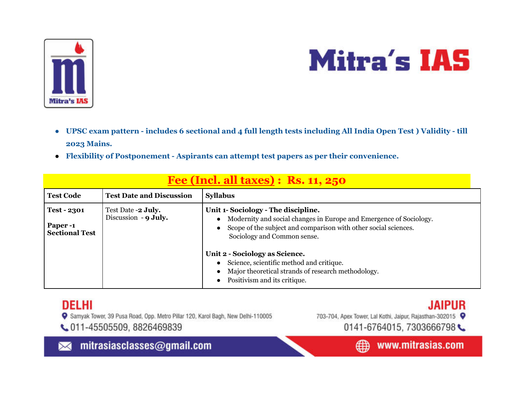

- ● **UPSC exam pattern - includes 6 sectional and 4 full length tests including All India Open Test ) Validity - till 2023 Mains.**
- **Flexibility of Postponement Aspirants can attempt test papers as per their convenience.**

#### **Fee (Incl. all taxes) : Rs. 11, 250**

| <b>Test Code</b>                                       | <b>Test Date and Discussion</b>            | <b>Syllabus</b>                                                                                                                                                                                                         |
|--------------------------------------------------------|--------------------------------------------|-------------------------------------------------------------------------------------------------------------------------------------------------------------------------------------------------------------------------|
| <b>Test - 2301</b><br>Paper-1<br><b>Sectional Test</b> | Test Date -2 July.<br>Discussion - 9 July. | Unit 1-Sociology - The discipline.<br>Modernity and social changes in Europe and Emergence of Sociology.<br>$\bullet$<br>Scope of the subject and comparison with other social sciences.<br>Sociology and Common sense. |
|                                                        |                                            | Unit 2 - Sociology as Science.<br>Science, scientific method and critique.<br>$\bullet$<br>Major theoretical strands of research methodology.<br>Positivism and its critique.                                           |

#### **DELHI**

Samyak Tower, 39 Pusa Road, Opp. Metro Pillar 120, Karol Bagh, New Delhi-110005

↓ 011-45505509, 8826469839

703-704, Apex Tower, Lal Kothi, Jaipur, Rajasthan-302015

0141-6764015, 7303666798



www.mitrasias.com ∰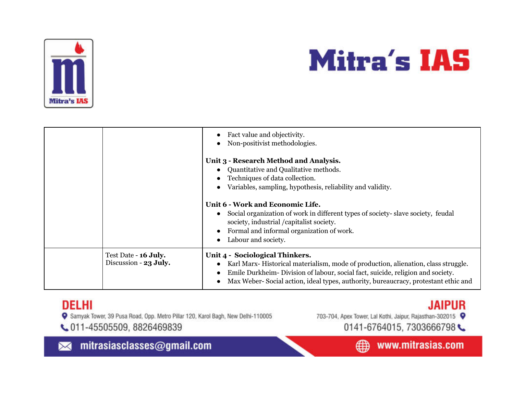

|                                               | Fact value and objectivity.<br>Non-positivist methodologies.<br>Unit 3 - Research Method and Analysis.<br>Quantitative and Qualitative methods.<br>Techniques of data collection.<br>Variables, sampling, hypothesis, reliability and validity.<br>Unit 6 - Work and Economic Life.<br>Social organization of work in different types of society-slave society, feudal<br>society, industrial /capitalist society.<br>Formal and informal organization of work.<br>Labour and society. |
|-----------------------------------------------|----------------------------------------------------------------------------------------------------------------------------------------------------------------------------------------------------------------------------------------------------------------------------------------------------------------------------------------------------------------------------------------------------------------------------------------------------------------------------------------|
| Test Date - 16 July.<br>Discussion - 23 July. | Unit 4 - Sociological Thinkers.<br>Karl Marx-Historical materialism, mode of production, alienation, class struggle.<br>Emile Durkheim- Division of labour, social fact, suicide, religion and society.<br>Max Weber-Social action, ideal types, authority, bureaucracy, protestant ethic and                                                                                                                                                                                          |

#### **DELHI**

Samyak Tower, 39 Pusa Road, Opp. Metro Pillar 120, Karol Bagh, New Delhi-110005

↓ 011-45505509, 8826469839

703-704, Apex Tower, Lal Kothi, Jaipur, Rajasthan-302015

0141-6764015, 7303666798

**JAIPUR** 

mitrasiasclasses@gmail.com  $\bowtie$ 

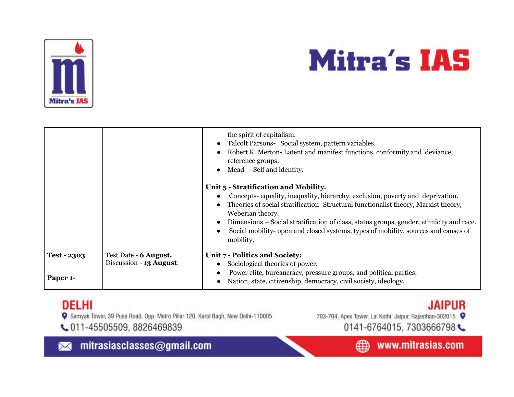

|                    |                         | the spirit of capitalism.<br>Talcolt Parsons- Social system, pattern variables.<br>Robert K. Merton-Latent and manifest functions, conformity and deviance,<br>reference groups.<br>Mead - Self and identity. |
|--------------------|-------------------------|---------------------------------------------------------------------------------------------------------------------------------------------------------------------------------------------------------------|
|                    |                         | Unit 5 - Stratification and Mobility.                                                                                                                                                                         |
|                    |                         | Concepts-equality, inequality, hierarchy, exclusion, poverty and deprivation.                                                                                                                                 |
|                    |                         | Theories of social stratification-Structural functionalist theory, Marxist theory,                                                                                                                            |
|                    |                         | Weberian theory.                                                                                                                                                                                              |
|                    |                         | Dimensions – Social stratification of class, status groups, gender, ethnicity and race.                                                                                                                       |
|                    |                         | Social mobility- open and closed systems, types of mobility, sources and causes of<br>mobility.                                                                                                               |
| <b>Test - 2303</b> | Test Date - 6 August.   | Unit 7 - Politics and Society:                                                                                                                                                                                |
|                    | Discussion - 13 August. | • Sociological theories of power.                                                                                                                                                                             |
| Paper 1-           |                         | Power elite, bureaucracy, pressure groups, and political parties.<br>Nation, state, citizenship, democracy, civil society, ideology.                                                                          |

#### **DELHI**

Samyak Tower, 39 Pusa Road, Opp. Metro Pillar 120, Karol Bagh, New Delhi-110005

↓ 011-45505509, 8826469839

703-704, Apex Tower, Lal Kothi, Jaipur, Rajasthan-302015

0141-6764015, 7303666798



www.mitrasias.com ⊕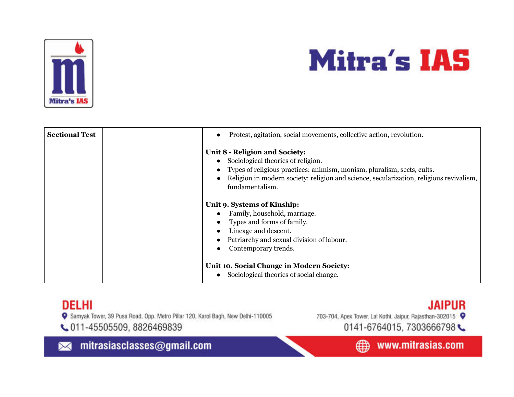

| <b>Sectional Test</b> | Protest, agitation, social movements, collective action, revolution.<br>$\bullet$                                                                                                                                                                                    |
|-----------------------|----------------------------------------------------------------------------------------------------------------------------------------------------------------------------------------------------------------------------------------------------------------------|
|                       | <b>Unit 8 - Religion and Society:</b><br>Sociological theories of religion.<br>Types of religious practices: animism, monism, pluralism, sects, cults.<br>Religion in modern society: religion and science, secularization, religious revivalism,<br>fundamentalism. |
|                       | Unit 9. Systems of Kinship:<br>Family, household, marriage.<br>Types and forms of family.<br>Lineage and descent.<br>Patriarchy and sexual division of labour.<br>Contemporary trends.                                                                               |
|                       | Unit 10. Social Change in Modern Society:<br>Sociological theories of social change.                                                                                                                                                                                 |

#### **DELHI**

Samyak Tower, 39 Pusa Road, Opp. Metro Pillar 120, Karol Bagh, New Delhi-110005

↓ 011-45505509, 8826469839

703-704, Apex Tower, Lal Kothi, Jaipur, Rajasthan-302015 0141-6764015, 7303666798



www.mitrasias.com ⊕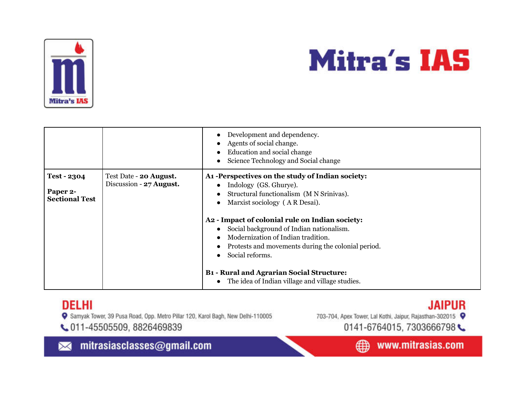

|                                                         |                                                   | Development and dependency.<br>Agents of social change.<br>Education and social change<br>Science Technology and Social change                                                                                                                                 |
|---------------------------------------------------------|---------------------------------------------------|----------------------------------------------------------------------------------------------------------------------------------------------------------------------------------------------------------------------------------------------------------------|
| <b>Test - 2304</b><br>Paper 2-<br><b>Sectional Test</b> | Test Date - 20 August.<br>Discussion - 27 August. | At -Perspectives on the study of Indian society:<br>Indology (GS. Ghurye).<br>Structural functionalism (M N Srinivas).<br>Marxist sociology (AR Desai).<br>A2 - Impact of colonial rule on Indian society:                                                     |
|                                                         |                                                   | Social background of Indian nationalism.<br>Modernization of Indian tradition.<br>Protests and movements during the colonial period.<br>Social reforms.<br><b>B1 - Rural and Agrarian Social Structure:</b><br>The idea of Indian village and village studies. |

#### **DELHI**

 $\bowtie$ 

Samyak Tower, 39 Pusa Road, Opp. Metro Pillar 120, Karol Bagh, New Delhi-110005

↓ 011-45505509, 8826469839

703-704, Apex Tower, Lal Kothi, Jaipur, Rajasthan-302015 0141-6764015, 7303666798

mitrasiasclasses@gmail.com

www.mitrasias.com ⊕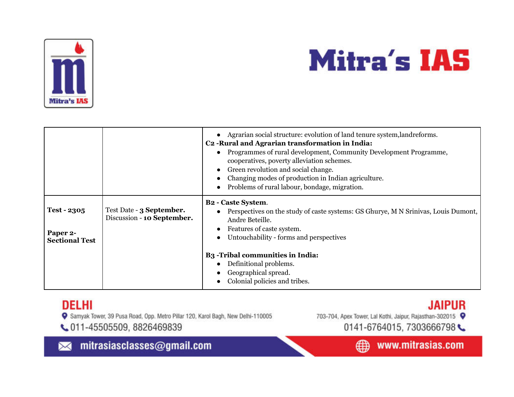

|                                                         |                                                        | Agrarian social structure: evolution of land tenure system, land reforms.<br>C <sub>2</sub> - Rural and Agrarian transformation in India:<br>Programmes of rural development, Community Development Programme,<br>cooperatives, poverty alleviation schemes.<br>Green revolution and social change.<br>Changing modes of production in Indian agriculture.<br>Problems of rural labour, bondage, migration. |
|---------------------------------------------------------|--------------------------------------------------------|-------------------------------------------------------------------------------------------------------------------------------------------------------------------------------------------------------------------------------------------------------------------------------------------------------------------------------------------------------------------------------------------------------------|
| <b>Test - 2305</b><br>Paper 2-<br><b>Sectional Test</b> | Test Date - 3 September.<br>Discussion - 10 September. | <b>B2</b> - Caste System.<br>Perspectives on the study of caste systems: GS Ghurye, M N Srinivas, Louis Dumont,<br>Andre Beteille.<br>Features of caste system.<br>Untouchability - forms and perspectives<br>B <sub>3</sub> -Tribal communities in India:<br>Definitional problems.<br>Geographical spread.<br>Colonial policies and tribes.                                                               |

#### **DELHI**

Samyak Tower, 39 Pusa Road, Opp. Metro Pillar 120, Karol Bagh, New Delhi-110005

↓ 011-45505509, 8826469839

703-704, Apex Tower, Lal Kothi, Jaipur, Rajasthan-302015

0141-6764015, 7303666798



www.mitrasias.com ⊕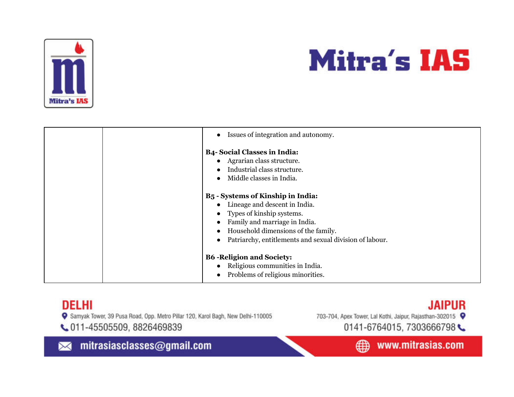

|  | Issues of integration and autonomy.<br>$\bullet$                                                                                                                                                                                                              |
|--|---------------------------------------------------------------------------------------------------------------------------------------------------------------------------------------------------------------------------------------------------------------|
|  | <b>B4-Social Classes in India:</b><br>• Agrarian class structure.<br>Industrial class structure.<br>Middle classes in India.                                                                                                                                  |
|  | B <sub>5</sub> - Systems of Kinship in India:<br>• Lineage and descent in India.<br>Types of kinship systems.<br>$\bullet$<br>Family and marriage in India.<br>Household dimensions of the family.<br>Patriarchy, entitlements and sexual division of labour. |
|  | <b>B6</b> - Religion and Society:<br>• Religious communities in India.<br>Problems of religious minorities.                                                                                                                                                   |

#### **DELHI**

Samyak Tower, 39 Pusa Road, Opp. Metro Pillar 120, Karol Bagh, New Delhi-110005

↓ 011-45505509, 8826469839

703-704, Apex Tower, Lal Kothi, Jaipur, Rajasthan-302015 0141-6764015, 7303666798



www.mitrasias.com ⊕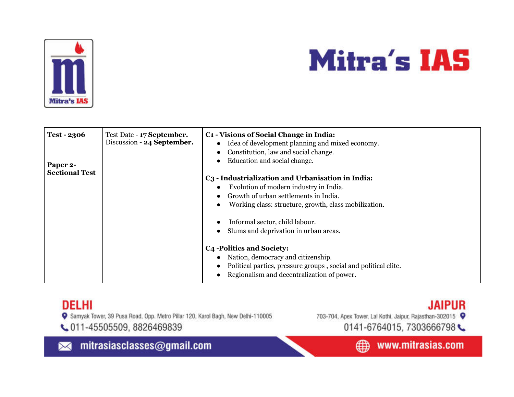

| <b>Test - 2306</b><br>Paper 2-<br><b>Sectional Test</b> | Test Date - 17 September.<br>Discussion - 24 September. | C <sub>1</sub> - Visions of Social Change in India:<br>Idea of development planning and mixed economy.<br>Constitution, law and social change.<br>Education and social change.<br>C <sub>3</sub> - Industrialization and Urbanisation in India:<br>Evolution of modern industry in India.<br>Growth of urban settlements in India. |
|---------------------------------------------------------|---------------------------------------------------------|------------------------------------------------------------------------------------------------------------------------------------------------------------------------------------------------------------------------------------------------------------------------------------------------------------------------------------|
|                                                         |                                                         | Working class: structure, growth, class mobilization.                                                                                                                                                                                                                                                                              |
|                                                         |                                                         | Informal sector, child labour.<br>Slums and deprivation in urban areas.                                                                                                                                                                                                                                                            |
|                                                         |                                                         | <b>C4 -Politics and Society:</b><br>Nation, democracy and citizenship.<br>Political parties, pressure groups, social and political elite.<br>Regionalism and decentralization of power.                                                                                                                                            |

#### **DELHI**

Samyak Tower, 39 Pusa Road, Opp. Metro Pillar 120, Karol Bagh, New Delhi-110005

↓ 011-45505509, 8826469839

703-704, Apex Tower, Lal Kothi, Jaipur, Rajasthan-302015

0141-6764015, 7303666798



www.mitrasias.com ⊕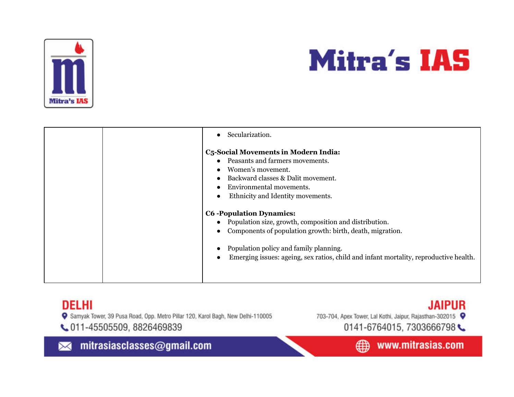

|  | Secularization.                                                                                                                                                                                                                                                                           |
|--|-------------------------------------------------------------------------------------------------------------------------------------------------------------------------------------------------------------------------------------------------------------------------------------------|
|  | C <sub>5</sub> -Social Movements in Modern India:<br>Peasants and farmers movements.<br>Women's movement.<br>Backward classes & Dalit movement.<br>Environmental movements.<br>Ethnicity and Identity movements.                                                                          |
|  | <b>C6 -Population Dynamics:</b><br>Population size, growth, composition and distribution.<br>Components of population growth: birth, death, migration.<br>Population policy and family planning.<br>Emerging issues: ageing, sex ratios, child and infant mortality, reproductive health. |

#### **DELHI**

Samyak Tower, 39 Pusa Road, Opp. Metro Pillar 120, Karol Bagh, New Delhi-110005

↓ 011-45505509, 8826469839

703-704, Apex Tower, Lal Kothi, Jaipur, Rajasthan-302015 0141-6764015, 7303666798

mitrasiasclasses@gmail.com  $\boxtimes$ 

www.mitrasias.com ⊕